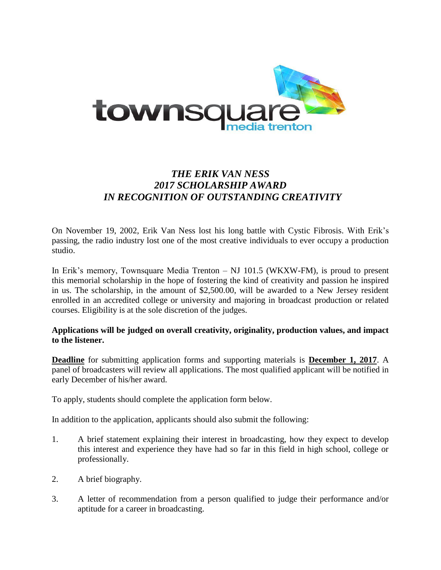

# *THE ERIK VAN NESS 2017 SCHOLARSHIP AWARD IN RECOGNITION OF OUTSTANDING CREATIVITY*

On November 19, 2002, Erik Van Ness lost his long battle with Cystic Fibrosis. With Erik's passing, the radio industry lost one of the most creative individuals to ever occupy a production studio.

In Erik's memory, Townsquare Media Trenton – NJ 101.5 (WKXW-FM), is proud to present this memorial scholarship in the hope of fostering the kind of creativity and passion he inspired in us. The scholarship, in the amount of \$2,500.00, will be awarded to a New Jersey resident enrolled in an accredited college or university and majoring in broadcast production or related courses. Eligibility is at the sole discretion of the judges.

#### **Applications will be judged on overall creativity, originality, production values, and impact to the listener.**

**Deadline** for submitting application forms and supporting materials is **December 1, 2017**. A panel of broadcasters will review all applications. The most qualified applicant will be notified in early December of his/her award.

To apply, students should complete the application form below.

In addition to the application, applicants should also submit the following:

- 1. A brief statement explaining their interest in broadcasting, how they expect to develop this interest and experience they have had so far in this field in high school, college or professionally.
- 2. A brief biography.
- 3. A letter of recommendation from a person qualified to judge their performance and/or aptitude for a career in broadcasting.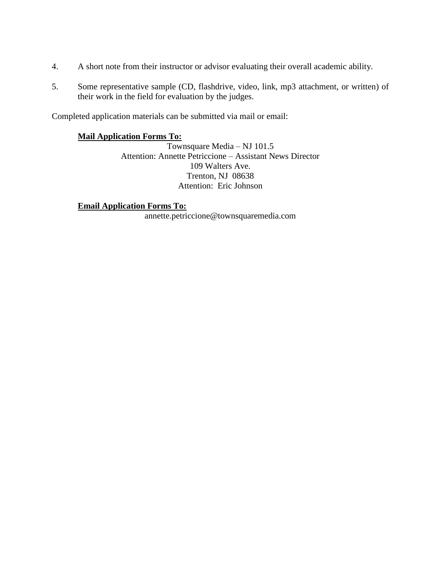- 4. A short note from their instructor or advisor evaluating their overall academic ability.
- 5. Some representative sample (CD, flashdrive, video, link, mp3 attachment, or written) of their work in the field for evaluation by the judges.

Completed application materials can be submitted via mail or email:

### **Mail Application Forms To:**

Townsquare Media – NJ 101.5 Attention: Annette Petriccione – Assistant News Director 109 Walters Ave. Trenton, NJ 08638 Attention: Eric Johnson

**Email Application Forms To:** annette.petriccione@townsquaremedia.com